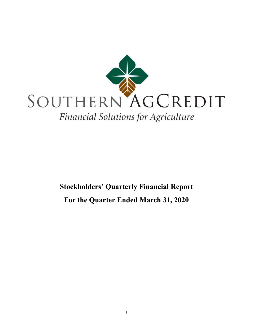

# **Stockholders' Quarterly Financial Report For the Quarter Ended March 31, 2020**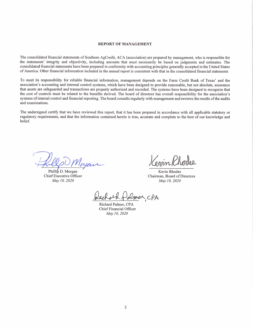#### **REPORT OF MANAGEMENT**

The consolidated financial statements of Southern AgCredit, ACA (association) are prepared by management, who is responsible for the statements' integrity and objectivity, including amounts that must necessarily be based on judgments and estimates. The consolidated financial statements have been prepared in conformity with accounting principles generally accepted in the United States of America. Other financial information included in the annual report is consistent with that in the consolidated financial statements

To meet its responsibility for reliable financial information, management depends on the Farm Credit Bank of Texas' and the association's accounting and internal control systems, which have been designed to provide reasonable, but not absolute, assurance that assets are safeguarded and transactions are properly authorized and recorded. The systems have been designed to recognize that the cost of controls must be related to the benefits derived. The board of directors has overall responsibility for the association's systems of internal control and financial reporting. The board consults regularly with management and reviews the results of the audits and examinations.

The undersigned certify that we have reviewed this report, that it has been prepared in accordance with all applicable statutory or regulatory requirements, and that the information contained herein is true, accurate and complete to the best of our knowledge and belief.

Phillip D. Morgan Chief Executive Officer May 10, 2020

onnn Pho

Kevin Rhodes Chairman, Board of Directors May 10, 2020

Demer, CPA

Richard Palmer, CPA Chief Financial Officer May 10, 2020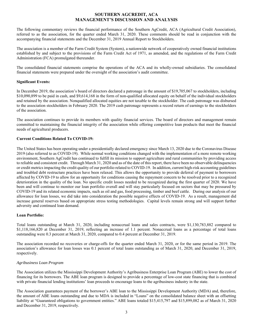# **SOUTHERN AGCREDIT, ACA MANAGEMENT'S DISCUSSION AND ANALYSIS**

The following commentary reviews the financial performance of the Southern AgCredit, ACA (Agricultural Credit Association), referred to as the association, for the quarter ended March 31, 2020. These comments should be read in conjunction with the accompanying financial statements and the December 31, 2019 Annual Report to Stockholders.

The association is a member of the Farm Credit System (System), a nationwide network of cooperatively owned financial institutions established by and subject to the provisions of the Farm Credit Act of 1971, as amended, and the regulations of the Farm Credit Administration (FCA) promulgated thereunder.

The consolidated financial statements comprise the operations of the ACA and its wholly-owned subsidiaries. The consolidated financial statements were prepared under the oversight of the association's audit committee.

### **Significant Events:**

In December 2019, the association's board of directors declared a patronage in the amount of \$19,705,067 to stockholders, including \$10,090,899 to be paid in cash, and \$9,614,168 in the form of non-qualified allocated equity on behalf of the individual stockholders and retained by the association. Nonqualified allocated equities are not taxable to the stockholder. The cash patronage was disbursed to the association stockholders in February 2020. The 2019 cash patronage represents a record return of earnings to the stockholders of the association.

The association continues to provide its members with quality financial services. The board of directors and management remain committed to maintaining the financial integrity of the association while offering competitive loan products that meet the financial needs of agricultural producers.

### **Current Conditions Related To COVID-19:**

The United States has been operating under a presidentially declared emergency since March 13, 2020 due to the Coronavirus Disease 2019 (also referred to as COVID-19). While normal working conditions changed with the implementation of a more remote working environment, Southern AgCredit has continued to fulfill its mission to support agriculture and rural communities by providing access to reliable and consistent credit. Through March 31, 2020 and as of the date of this report, there have been no observable delinquencies or credit metrics impacting the credit quality of our portfolio related to COVID-19. In addition, current high-risk accounting guidelines and troubled debt restructure practices have been relaxed. This allows the opportunity to provide deferral of payment to borrowers affected by COVID-19 to allow for an opportunity for conditions causing the repayment concern to be resolved prior to a recognized deterioration in the quality of the loan. No specific credit losses needed to be recognized during the first quarter of 2020. We have been and will continue to monitor our loan portfolio overall and will stay particularly focused on sectors that may be pressured by COVID-19 and its related economic impacts, such as oil and gas, food processing, timber and beef cattle. During our analysis of our allowance for loan losses, we did take into consideration the possible negative effects of COVID-19. As a result, management did increase general reserves based on appropriate stress testing methodologies. Capital levels remain strong and will support further adversity and continued loan demand.

#### **Loan Portfolio:**

Total loans outstanding at March 31, 2020, including nonaccrual loans and sales contracts, were \$1,130,783,882 compared to \$1,118,166,820 at December 31, 2019, reflecting an increase of 1.1 percent. Nonaccrual loans as a percentage of total loans outstanding were 0.3 percent at March 31, 2020, compared to 0.4 percent at December 31, 2019.

The association recorded no recoveries or charge-offs for the quarter ended March 31, 2020, or for the same period in 2019. The association's allowance for loan losses was 0.1 percent of total loans outstanding as of March 31, 2020, and December 31, 2019, respectively.

#### *Agribusiness Loan Program*

The Association utilizes the Mississippi Development Authority's Agribusiness Enterprise Loan Program (ABE) to lower the cost of financing for its borrowers. The ABE loan program is designed to provide a percentage of low-cost state financing that is combined with private financial lending institutions' loan proceeds to encourage loans to the agribusiness industry in the state.

The Association guarantees payment of the borrower's ABE loan to the Mississippi Development Authority (MDA) and, therefore, the amount of ABE loans outstanding and due to MDA is included in "Loans" on the consolidated balance sheet with an offsetting liability at "Guaranteed obligations to government entities." ABE loans totaled \$15,415,797 and \$15,899,082 as of March 31, 2020 and December 31, 2019, respectively.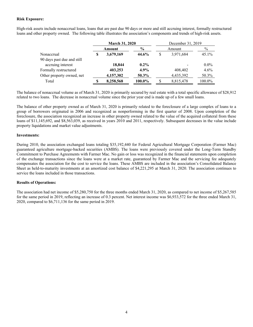#### **Risk Exposure:**

High-risk assets include nonaccrual loans, loans that are past due 90 days or more and still accruing interest, formally restructured loans and other property owned. The following table illustrates the association's components and trends of high-risk assets.

|                            |   | <b>March 31, 2020</b> |         |  | December 31, 2019 |         |  |  |
|----------------------------|---|-----------------------|---------|--|-------------------|---------|--|--|
|                            |   | Amount                | $\%$    |  | Amount            | $\%$    |  |  |
| Nonaccrual                 | S | 3,679,169             | 44.6%   |  | 3,971,684         | 45.1%   |  |  |
| 90 days past due and still |   |                       |         |  |                   |         |  |  |
| accruing interest          |   | 18,844                | $0.2\%$ |  |                   | $0.0\%$ |  |  |
| Formally restructured      |   | 403,253               | 4.9%    |  | 408,402           | $4.6\%$ |  |  |
| Other property owned, net  |   | 4,157,302             | 50.3%   |  | 4,435,392         | 50.3%   |  |  |
| Total                      | S | 8,258,568             | 100.0%  |  | 8,815,478         | 100.0%  |  |  |

 The balance of nonaccrual volume as of March 31, 2020 is primarily secured by real estate with a total specific allowance of \$28,912 related to two loans. The decrease in nonaccrual volume since the prior year end is made up of a few small loans.

The balance of other property owned as of March 31, 2020 is primarily related to the foreclosure of a large complex of loans to a group of borrowers originated in 2006 and recognized as nonperforming in the first quarter of 2008. Upon completion of the foreclosure, the association recognized an increase in other property owned related to the value of the acquired collateral from these loans of \$11,145,692, and \$8,563,039, as received in years 2010 and 2011, respectively. Subsequent decreases in the value include property liquidations and market value adjustments.

#### **Investments:**

During 2010, the association exchanged loans totaling \$35,192,440 for Federal Agricultural Mortgage Corporation (Farmer Mac) guaranteed agriculture mortgage-backed securities (AMBS). The loans were previously covered under the Long-Term Standby Commitment to Purchase Agreements with Farmer Mac. No gain or loss was recognized in the financial statements upon completion of the exchange transactions since the loans were at a market rate, guaranteed by Farmer Mac and the servicing fee adequately compensates the association for the cost to service the loans. These AMBS are included in the association's Consolidated Balance Sheet as held-to-maturity investments at an amortized cost balance of \$4,221,295 at March 31, 2020. The association continues to service the loans included in those transactions.

#### **Results of Operations:**

The association had net income of \$5,280,750 for the three months ended March 31, 2020, as compared to net income of \$5,267,585 for the same period in 2019, reflecting an increase of 0.3 percent. Net interest income was \$6,933,572 for the three ended March 31, 2020, compared to \$6,711,136 for the same period in 2019.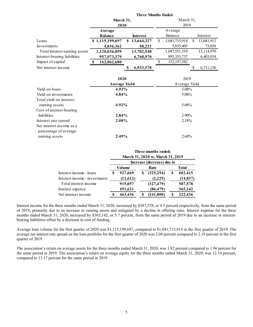|                                                   | March 31,<br>2020            |                  |               | March 31,             |     |            |  |  |
|---------------------------------------------------|------------------------------|------------------|---------------|-----------------------|-----|------------|--|--|
|                                                   | Average                      |                  |               | 2019                  |     |            |  |  |
|                                                   | <b>Balance</b>               | <b>Interest</b>  |               | Average<br>Balance    |     | Interest   |  |  |
| Loans                                             | \$1,115,199,697              | 13,644,327<br>\$ | <sup>\$</sup> | 1,041,715,914         | \$. | 13,041,912 |  |  |
| Investments                                       | 4,836,362                    | 58,221           |               | 5,835,405             |     | 73,058     |  |  |
| Total interest-earning assets                     | 1,120,036,059                | 13,702,548       |               | 1,047,551,319         |     | 13,114,970 |  |  |
| Interest-bearing liabilities                      | 957,973,379                  | 6,768,970        |               | 895, 353, 737         |     | 6,403,834  |  |  |
| Impact of capital                                 | 162,062,680<br>S             |                  | \$            | 152, 197, 582         |     |            |  |  |
| Net interest income                               |                              | 6,933,578        |               |                       | S   | 6,711,136  |  |  |
|                                                   | 2020<br><b>Average Yield</b> |                  |               | 2019<br>Average Yield |     |            |  |  |
| Yield on loans                                    | 4.92%                        |                  |               | 5.08%                 |     |            |  |  |
| Yield on investments                              | 4.84%                        |                  | 5.08%         |                       |     |            |  |  |
| Total yield on interest-<br>earning assets        | 4.92%                        |                  |               | 5.08%                 |     |            |  |  |
| Cost of interest-bearing<br>liabilities           | 2.84%                        |                  |               | 2.90%                 |     |            |  |  |
| Interest rate spread                              | 2.08%                        |                  |               | 2.18%                 |     |            |  |  |
| Net interest income as a<br>percentage of average |                              |                  |               |                       |     |            |  |  |
| earning assets                                    | 2.49%                        |                  |               | 2.60%                 |     |            |  |  |

 **Three Months Ended** 

|                               | Three months ended:<br>March 31, 2020 vs. March 31, 2019 |          |  |                            |              |           |  |
|-------------------------------|----------------------------------------------------------|----------|--|----------------------------|--------------|-----------|--|
|                               |                                                          |          |  | Increase (decrease) due to |              |           |  |
|                               |                                                          | Volume   |  | Rate                       | <b>Total</b> |           |  |
| Interest income - loans       | S                                                        | 927,669  |  | (325, 254)                 | S            | 602,415   |  |
| Interest income - investments |                                                          | (12,612) |  | (2, 225)                   |              | (14, 837) |  |
| Total interest income         |                                                          | 915,057  |  | (327, 479)                 |              | 587,578   |  |
| Interest expense              |                                                          | 451,621  |  | (86, 479)                  |              | 365,142   |  |
| Net interest income           |                                                          | 463,436  |  | (241,000)                  |              | 222,436   |  |

Interest income for the three months ended March 31, 2020, increased by \$587,578, or 4.5 percent respectively, from the same period of 2019, primarily due to an increase in earning assets and mitigated by a decline in offering rates. Interest expense for the three months ended March 31, 2020, increased by \$365,142, or 5.7 percent, from the same period of 2019 due to an increase in interestbearing liabilities offset by a decrease in cost of funding.

Average loan volume for the first quarter of 2020 was \$1,115,199,697, compared to \$1,041,715,914 in the first quarter of 2019. The average net interest rate spread on the loan portfolio for the first quarter of 2020 was 2.08 percent compared to 2.18 percent in the first quarter of 2019.

The association's return on average assets for the three months ended March 31, 2020, was 1.82 percent compared to 1.96 percent for the same period in 2019. The association's return on average equity for the three months ended March 31, 2020, was 12.14 percent, compared to 13.17 percent for the same period in 2019.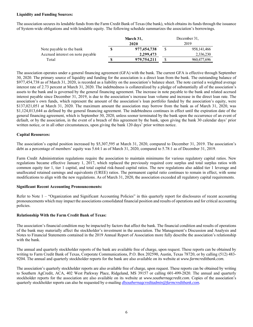#### **Liquidity and Funding Sources:**

The association secures its lendable funds from the Farm Credit Bank of Texas (the bank), which obtains its funds through the issuance of System-wide obligations and with lendable equity. The following schedule summarizes the association's borrowings.

|                                  | March 31,   | December 31, |               |  |
|----------------------------------|-------------|--------------|---------------|--|
|                                  | 2020        | 2019         |               |  |
| Note payable to the bank         | 977,454,738 |              | 958, 141, 466 |  |
| Accrued interest on note payable | 2,299,473   |              | 2,336,230     |  |
| Total                            | 979,754,211 |              | 960,477,696   |  |

The association operates under a general financing agreement (GFA) with the bank. The current GFA is effective through September 30, 2020. The primary source of liquidity and funding for the association is a direct loan from the bank. The outstanding balance of \$977,454,738 as of March 31, 2020, is recorded as a liability on the association's balance sheet. The note carried a weighted average interest rate of 2.73 percent at March 31, 2020. The indebtedness is collateralized by a pledge of substantially all of the association's assets to the bank and is governed by the general financing agreement. The increase in note payable to the bank and related accrued interest payable since December 31, 2019, is due to the association's increase loan volume and increase in the direct loan rate. The association's own funds, which represent the amount of the association's loan portfolio funded by the association's equity, were \$137,021,051 at March 31, 2020. The maximum amount the association may borrow from the bank as of March 31, 2020, was \$1,124,013,644 as defined by the general financing agreement. The indebtedness continues in effect until the expiration date of the general financing agreement, which is September 30, 2020, unless sooner terminated by the bank upon the occurrence of an event of default, or by the association, in the event of a breach of this agreement by the bank, upon giving the bank 30 calendar days' prior written notice, or in all other circumstances, upon giving the bank 120 days' prior written notice.

#### **Capital Resources:**

The association's capital position increased by \$5,307,595 at March 31, 2020, compared to December 31, 2019. The association's debt as a percentage of members' equity was 5.64:1 as of March 31, 2020, compared to 5.78:1 as of December 31, 2019.

Farm Credit Administration regulations require the association to maintain minimums for various regulatory capital ratios. New regulations became effective January 1, 2017, which replaced the previously required core surplus and total surplus ratios with common equity tier 1, tier 1 capital, and total capital risk-based capital ratios. The new regulations also added tier 1 leverage and unallocated retained earnings and equivalents (UREE) ratios. The permanent capital ratio continues to remain in effect, with some modifications to align with the new regulations. As of March 31, 2020, the association exceeded all regulatory capital requirements.

#### **Significant Recent Accounting Pronouncements:**

Refer to Note 1 – "Organization and Significant Accounting Policies" in this quarterly report for disclosures of recent accounting pronouncements which may impact the associations consolidated financial position and results of operations and for critical accounting policies.

#### **Relationship With the Farm Credit Bank of Texas:**

The association's financial condition may be impacted by factors that affect the bank. The financial condition and results of operations of the bank may materially affect the stockholder's investment in the association. The Management's Discussion and Analysis and Notes to Financial Statements contained in the 2019 Annual Report of Association more fully describe the association's relationship with the bank.

The annual and quarterly stockholder reports of the bank are available free of charge, upon request. These reports can be obtained by writing to Farm Credit Bank of Texas, Corporate Communications, P.O. Box 202590, Austin, Texas 78720, or by calling (512) 483- 9204. The annual and quarterly stockholder reports for the bank are also available on its website at *www.farmcreditbank.com.* 

The association's quarterly stockholder reports are also available free of charge, upon request. These reports can be obtained by writing to Southern AgCredit, ACA, 402 West Parkway Place, Ridgeland, MS 39157 or calling 601-499-2820. The annual and quarterly stockholder reports for the association are also available on its website at *www.southernagcredit.com.* Copies of the association's quarterly stockholder reports can also be requested by e-mailing *dlsouthernagcreditadmin@farmcreditbank.com.*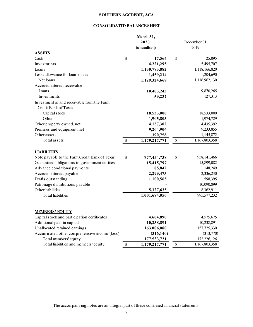# **SOUTHERN AGCREDIT, ACA**

# **CONSOLIDATED BALANCE SHEET**

|                                               |                           | March 31,<br>2020<br>(unaudited) |              | December 31,<br>2019 |
|-----------------------------------------------|---------------------------|----------------------------------|--------------|----------------------|
| <b>ASSETS</b><br>Cash                         | \$                        |                                  | \$           | 25,095               |
| Investments                                   |                           | 17,564                           |              | 5,495,707            |
| Loans                                         |                           | 4,221,295                        |              | 1,118,166,820        |
| Less: allowance for loan losses               |                           | 1,130,783,882                    |              | 1,204,690            |
| Net loans                                     |                           | 1,459,214<br>1,129,324,668       |              | 1,116,962,130        |
| Accrued interest receivable                   |                           |                                  |              |                      |
|                                               |                           |                                  |              |                      |
| Loans                                         |                           | 10,403,243                       |              | 9,870,265            |
| Investments                                   |                           | 59,232                           |              | 127,313              |
| Investment in and receivable from the Farm    |                           |                                  |              |                      |
| Credit Bank of Texas:                         |                           |                                  |              |                      |
| Capital stock                                 |                           | 18,533,000                       |              | 18,533,000           |
| Other                                         |                           | 1,905,803                        |              | 1,974,729            |
| Other property owned, net                     |                           | 4,157,302                        |              | 4,435,392            |
| Premises and equipment, net                   |                           | 9,204,906                        |              | 9,233,855            |
| Other assets                                  |                           | 1,390,758                        |              | 1,145,872            |
| Total assets                                  | $\boldsymbol{\mathsf{S}}$ | 1,179,217,771                    | $\$$         | 1,167,803,358        |
| <b>LIABILITIES</b>                            |                           |                                  |              |                      |
| Note payable to the Farm Credit Bank of Texas | \$                        | 977,454,738                      | \$           | 958,141,466          |
| Guaranteed obligations to government entities |                           | 15,415,797                       |              | 15,899,082           |
| Advance conditional payments                  |                           | 85,842                           |              | 148,249              |
| Accrued interest payable                      |                           | 2,299,473                        |              | 2,336,230            |
| Drafts outstanding                            |                           | 1,100,565                        |              | 598,395              |
| Patronage distributions payable               |                           |                                  |              | 10,090,899           |
| Other liabilities                             |                           | 5,327,635                        |              | 8,362,911            |
| <b>Total</b> liabilities                      |                           | 1,001,684,050                    |              | 995,577,232          |
| <b>MEMBERS' EQUITY</b>                        |                           |                                  |              |                      |
| Capital stock and participation certificates  |                           | 4,604,890                        |              | 4,575,675            |
| Additional paid-in capital                    |                           | 10,238,891                       |              | 10,238,891           |
| Unallocated retained earnings                 |                           | 163,006,080                      |              | 157,725,330          |
| Accumulated other comprehensive income (loss) |                           | (316, 140)                       |              | (313,770)            |
| Total members' equity                         |                           | 177,533,721                      |              | 172,226,126          |
| Total liabilities and members' equity         | \$                        | 1,179,217,771                    | $\mathbb{S}$ | 1,167,803,358        |

The accompanying notes are an integral part of these combined financial statements.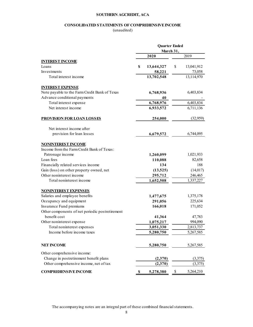### **SOUTHERN AGCREDIT, ACA**

# **CONSOLIDATED STATEMENTS OF COMPREHENSIVE INCOME**

(unaudited)

|                                                 | <b>Quarter Ended</b><br>March 31, |                  |
|-------------------------------------------------|-----------------------------------|------------------|
|                                                 | 2020                              | 2019             |
| <b>INTEREST INCOME</b>                          |                                   |                  |
| Loans                                           | \$<br>13,644,327                  | \$<br>13,041,912 |
| Investments                                     | 58,221                            | 73,058           |
| Total interest income                           | 13,702,548                        | 13,114,970       |
| <b>INTEREST EXPENSE</b>                         |                                   |                  |
| Note payable to the Farm Credit Bank of Texas   | 6,768,936                         | 6,403,834        |
| Advance conditional payments                    | 40                                |                  |
| Total interest expense                          | 6,768,976                         | 6,403,834        |
| Net interest income                             | 6,933,572                         | 6,711,136        |
| <b>PROVISION FOR LOAN LOSSES</b>                | 254,000                           | (32,959)         |
| Net interest income after                       |                                   |                  |
| provision for loan losses                       | 6,679,572                         | 6,744,095        |
| <b>NONINTEREST INCOME</b>                       |                                   |                  |
| Income from the Farm Credit Bank of Texas:      |                                   |                  |
| Patronage income                                | 1,260,099                         | 1,021,933        |
| Loan fees                                       | 110,088                           | 82,658           |
| Financially related services income             | 134                               | 188              |
| Gain (loss) on other property owned, net        | (13,525)                          | (14,017)         |
| Other noninterest income                        | 295,712                           | 246,465          |
| Total noninterest income                        | 1,652,508                         | 1,337,227        |
| <b>NONINTEREST EXPENSES</b>                     |                                   |                  |
| Salaries and employee benefits                  | 1,477,675                         | 1,375,178        |
| Occupancy and equipment                         | 291,056                           | 225,634          |
| Insurance Fund premiums                         | 166,018                           | 171,052          |
| Other components of net periodic postretirement |                                   |                  |
| benefit cost                                    | 41,364                            | 47,783           |
| Other noninterest expense                       | 1,075,217                         | 994,090          |
| Total noninterest expenses                      | 3,051,330                         | 2,813,737        |
| Income before income taxes                      | 5,280,750                         | 5,267,585        |
| <b>NET INCOME</b>                               | 5,280,750                         | 5,267,585        |
| Other comprehensive income:                     |                                   |                  |
| Change in postretirement benefit plans          | (2,370)                           | (3,375)          |
| Other comprehensive income, net of tax          | (2,370)                           | (3,375)          |
| <b>COMPREHENSIVE INCOME</b>                     | 5,278,380                         | 5,264,210<br>\$  |

The accompanying notes are an integral part of these combined financial statements.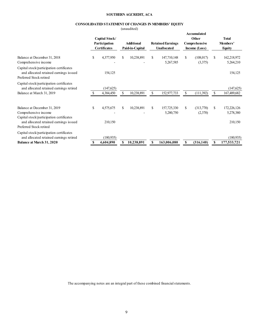### **SOUTHERN AGCREDIT, ACA**

#### **CONSOLIDATED STATEMENT OF CHANGES IN MEMBERS' EQUITY**

(unaudited)

|                                                                                                               |    | Capital Stock/<br>Participation<br><b>Certificates</b> |    | <b>Additional</b><br>Paid-in-Capital |               | <b>Retained Earnings</b><br><b>Unallocated</b> | Accumulated<br>Other<br>Comprehensive<br>Income (Loss) |     | <b>Total</b><br>Members'<br><b>Equity</b> |
|---------------------------------------------------------------------------------------------------------------|----|--------------------------------------------------------|----|--------------------------------------|---------------|------------------------------------------------|--------------------------------------------------------|-----|-------------------------------------------|
| Balance at December 31, 2018                                                                                  | \$ | 4,377,950                                              | S  | 10,238,891                           | \$.           | 147,710,148                                    | \$<br>(108, 017)                                       | \$. | 162,218,972                               |
| Comprehensive income                                                                                          |    |                                                        |    |                                      |               | 5,267,585                                      | (3,375)                                                |     | 5,264,210                                 |
| Capital stock/participation certificates<br>and allocated retained earnings issued<br>Preferred Stock retired |    | 154,125                                                |    |                                      |               |                                                |                                                        |     | 154,125                                   |
| Capital stock/participation certificates<br>and allocated retained earnings retired                           |    | (147, 625)                                             |    |                                      |               |                                                |                                                        |     | (147, 625)                                |
| Balance at March 31, 2019                                                                                     |    | 4,384,450                                              |    | 10,238,891                           |               | 152,977,733                                    | \$<br>(111,392)                                        | \$  | 167,489,682                               |
| Balance at December 31, 2019<br>Comprehensive income                                                          | \$ | 4,575,675                                              | S. | 10,238,891                           | <sup>\$</sup> | 157,725,330<br>5,280,750                       | \$<br>(313,770)<br>(2,370)                             | \$  | 172,226,126<br>5,278,380                  |
| Capital stock/participation certificates<br>and allocated retained earnings issued<br>Preferred Stock retired |    | 210,150                                                |    |                                      |               |                                                |                                                        |     | 210,150                                   |
|                                                                                                               |    |                                                        |    |                                      |               |                                                |                                                        |     |                                           |
| Capital stock/participation certificates<br>and allocated retained earnings retired                           |    | (180, 935)                                             |    |                                      |               |                                                |                                                        |     | (180, 935)                                |
| <b>Balance at March 31, 2020</b>                                                                              | S  | 4.604.890                                              |    | 10,238,891                           | \$            | 163,006,080                                    | \$<br>(316, 140)                                       | S   | 177,533,721                               |

The accompanying notes are an integral part of these combined financial statements.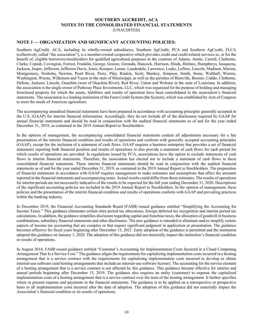#### **SOUTHERN AGCREDIT, ACA NOTES TO THE CONSOLIDATED FINANCIAL STATEMENTS**  (UNAUDITED)

# **NOTE 1 — ORGANIZATION AND SIGNIFICANT ACCOUNTING POLICIES:**

Southern AgCredit, ACA, including its wholly-owned subsidiaries, Southern AgCredit, PCA and Southern AgCredit, FLCA (collectively called "the association"), is a member-owned cooperative which provides credit and credit-related services to, or for the benefit of, eligible borrowers/stockholders for qualified agricultural purposes in the counties of Adams, Amite, Carroll, Claiborne, Clarke, Copiah, Covington, Forrest, Franklin, George, Greene, Grenada, Hancock, Harrison, Hinds, Holmes, Humphreys, Issaquena, Jackson, Jasper, Jefferson, Jefferson Davis, Jones, Kemper, Lamar, Lauderdale, Lawrence, Leake, Leflore, Lincoln, Madison, Marion, Montgomery, Neshoba, Newton, Pearl River, Perry, Pike, Rankin, Scott, Sharkey, Simpson, Smith, Stone, Walthall, Warren, Washington, Wayne, Wilkinson and Yazoo in the state of Mississippi, as well as the parishes of Bienville, Bossier, Caddo, Claiborne, DeSoto, Jackson, Lincoln, Ouachita (west of Ouachita River), Red River, Union and Webster in the state of Louisiana. In addition, the association is the single owner of Parkway Place Investments, LLC, which was organized for the purpose of holding and managing foreclosed property for which the assets, liabilities and results of operation have been consolidated in the association's financial statements. The association is a lending institution of the Farm Credit System (the System), which was established by Acts of Congress to meet the needs of American agriculture.

The accompanying unaudited financial statements have been prepared in accordance with accounting principles generally accepted in the U.S. (GAAP) for interim financial information. Accordingly, they do not include all of the disclosures required by GAAP for annual financial statements and should be read in conjunction with the audited financial statements as of and for the year ended December 31, 2019, as contained in the 2019 Annual Report to Stockholders.

In the opinion of management, the accompanying consolidated financial statements contain all adjustments necessary for a fair presentation of the interim financial condition and results of operations and conform with generally accepted accounting principles (GAAP), except for the inclusion of a statement of cash flows. GAAP requires a business enterprise that provides a set of financial statements reporting both financial position and results of operations to also provide a statement of cash flows for each period for which results of operations are provided. In regulations issued by FCA, associations have the option to exclude statements of cash flows in interim financial statements. Therefore, the association has elected not to include a statement of cash flows in these consolidated financial statements. These interim financial statements should be read in conjunction with the audited financial statements as of and for the year ended December 31, 2019, as contained in the 2019 Annual Report to Stockholders. The preparation of financial statements in accordance with GAAP requires management to make estimates and assumptions that affect the amounts reported in the financial statements and accompanying notes. Actual results could differ from those estimates. The results of operations for interim periods are not necessarily indicative of the results to be expected for the full year ending December 31, 2020. Descriptions of the significant accounting policies are included in the 2019 Annual Report to Stockholders. In the opinion of management, these policies and the presentation of the interim financial condition and results of operations conform with GAAP and prevailing practices within the banking industry.

In December 2019, the Financial Accounting Standards Board (FASB) issued guidance entitled "Simplifying the Accounting for Income Taxes." This guidance eliminates certain intra period tax allocations, foreign deferred tax recognition and interim period tax calculations. In addition, the guidance simplifies disclosure regarding capital and franchise taxes, the allocation of goodwill in business combinations, subsidiary financial statements and other disclosures. The new guidance is intended to eliminate and/or simplify certain aspects of income tax accounting that are complex or that require significant judgment in application or presentation. The guidance becomes effective for fiscal years beginning after December 15, 2021. Early adoption of the guidance is permitted and the institution adopted this guidance on January 1, 2020. The adoption of this guidance did not materially impact the institution's financial condition or results of operations.

In August 2018, FASB issued guidance entitled "Customer's Accounting for Implementation Costs Incurred in a Cloud Computing Arrangement That Is a Service Cost." The guidance aligns the requirements for capitalizing implementation costs incurred in a hosting arrangement that is a service contract with the requirements for capitalizing implementation costs incurred to develop or obtain internal-use software (and hosting arrangements that include an internal-use software license). The accounting for the service element of a hosting arrangement that is a service contract is not affected by this guidance. This guidance became effective for interim and annual periods beginning after December 15, 2019. The guidance also requires an entity (customer) to expense the capitalized implementation costs of a hosting arrangement that is a service contract over the term of the hosting arrangement. It further specifies where to present expense and payments in the financial statements. The guidance is to be applied on a retrospective or prospective basis to all implementation costs incurred after the date of adoption. The adoption of this guidance did not materially impact the Association's financial condition or its results of operations.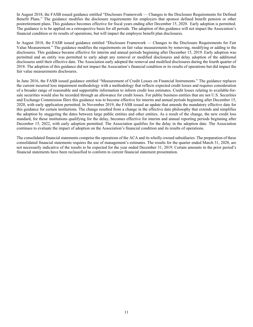In August 2018, the FASB issued guidance entitled "Disclosure Framework — Changes to the Disclosure Requirements for Defined Benefit Plans." The guidance modifies the disclosure requirements for employers that sponsor defined benefit pension or other postretirement plans. This guidance becomes effective for fiscal years ending after December 15, 2020. Early adoption is permitted. The guidance is to be applied on a retrospective basis for all periods. The adoption of this guidance will not impact the Association's financial condition or its results of operations, but will impact the employee benefit plan disclosures.

In August 2018, the FASB issued guidance entitled "Disclosure Framework — Changes to the Disclosure Requirements for Fair Value Measurement." The guidance modifies the requirements on fair value measurements by removing, modifying or adding to the disclosures. This guidance became effective for interim and annual periods beginning after December 15, 2019. Early adoption was permitted and an entity was permitted to early adopt any removal or modified disclosures and delay adoption of the additional disclosures until their effective date. The Association early adopted the removal and modified disclosures during the fourth quarter of 2018. The adoption of this guidance did not impact the Association's financial condition or its results of operations but did impact the fair value measurements disclosures.

In June 2016, the FASB issued guidance entitled "Measurement of Credit Losses on Financial Instruments." The guidance replaces the current incurred loss impairment methodology with a methodology that reflects expected credit losses and requires consideration of a broader range of reasonable and supportable information to inform credit loss estimates. Credit losses relating to available-forsale securities would also be recorded through an allowance for credit losses. For public business entities that are not U.S. Securities and Exchange Commission filers this guidance was to become effective for interim and annual periods beginning after December 15, 2020, with early application permitted. In November 2019, the FASB issued an update that amends the mandatory effective date for this guidance for certain institutions. The change resulted from a change in the effective date philosophy that extends and simplifies the adoption by staggering the dates between large public entities and other entities. As a result of the change, the new credit loss standard, for those institutions qualifying for the delay, becomes effective for interim and annual reporting periods beginning after December 15, 2022, with early adoption permitted. The Association qualifies for the delay in the adoption date. The Association continues to evaluate the impact of adoption on the Association's financial condition and its results of operations.

The consolidated financial statements comprise the operations of the ACA and its wholly-owned subsidiaries. The preparation of these consolidated financial statements requires the use of management's estimates. The results for the quarter ended March 31, 2020, are not necessarily indicative of the results to be expected for the year ended December 31, 2019. Certain amounts in the prior period's financial statements have been reclassified to conform to current financial statement presentation.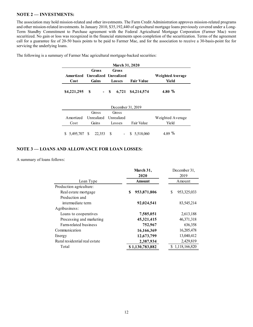# **NOTE 2 — INVESTMENTS:**

The association may hold mission-related and other investments. The Farm Credit Administration approves mission-related programs and other mission-related investments. In January 2010, \$35,192,440 of agricultural mortgage loans previously covered under a Long-Term Standby Commitment to Purchase agreement with the Federal Agricultural Mortgage Corporation (Farmer Mac) were securitized. No gain or loss was recognized in the financial statements upon completion of the securitization. Terms of the agreement call for a guarantee fee of 20-50 basis points to be paid to Farmer Mac, and for the association to receive a 30-basis-point fee for servicing the underlying loans.

| <b>March 31, 2020</b> |                                 |        |                   |                  |  |  |  |
|-----------------------|---------------------------------|--------|-------------------|------------------|--|--|--|
|                       | Gross                           | Gross  |                   |                  |  |  |  |
|                       | Amortized Unrealized Unrealized |        |                   | Weighted Average |  |  |  |
| Cost                  | Gains                           | Losses | <b>Fair Value</b> | Yield            |  |  |  |
| $$4,221,295$ \$       |                                 | $- S$  | 6,721 \$4,214,574 | 4.80 $%$         |  |  |  |

The following is a summary of Farmer Mac agricultural mortgage-backed securities:

| December 31, 2019      |                                 |        |                  |                  |  |  |  |  |
|------------------------|---------------------------------|--------|------------------|------------------|--|--|--|--|
|                        | Gross                           | Gross  |                  |                  |  |  |  |  |
|                        | Amortized Unrealized Unrealized |        |                  | Weighted Average |  |  |  |  |
| Cost                   | Gains                           | Losses | Fair Value       | Yield            |  |  |  |  |
| \$ 5,495,707 \$ 22,353 |                                 |        | $-$ \$ 5,518,060 | 4.89 %           |  |  |  |  |

# **NOTE 3 — LOANS AND ALLOWANCE FOR LOAN LOSSES:**

A summary of loans follows:

|                               | March 31,<br>2020 | December 31,<br>2019 |  |  |
|-------------------------------|-------------------|----------------------|--|--|
| Loan Type                     | <b>Amount</b>     | Amount               |  |  |
| Production agriculture:       |                   |                      |  |  |
| Real estate mortgage          | 953,871,806<br>\$ | 953,325,033<br>S     |  |  |
| Production and                |                   |                      |  |  |
| intermediate term             | 92,024,541        | 83,545,214           |  |  |
| Agribusiness:                 |                   |                      |  |  |
| Loans to cooperatives         | 7,585,051         | 2,613,188            |  |  |
| Processing and marketing      | 45,321,415        | 46, 371, 318         |  |  |
| Farm-related business         | 752,967           | 636,358              |  |  |
| Communication                 | 16,166,369        | 16,205,478           |  |  |
| Energy                        | 12,673,799        | 13,040,412           |  |  |
| Rural residential real estate | 2,387,934         | 2,429,819            |  |  |
| Total                         | \$1,130,783,882   | \$1,118,166,820      |  |  |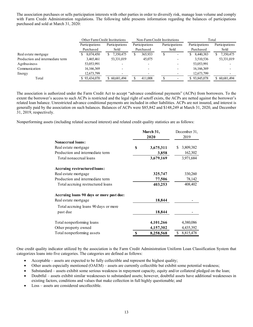The association purchases or sells participation interests with other parties in order to diversify risk, manage loan volume and comply with Farm Credit Administration regulations. The following table presents information regarding the balances of participations purchased and sold at March 31, 2020:

|                                  | Other Farm Credit Institutions |                 |                | Non-Farm Credit Institutions | Total          |                 |
|----------------------------------|--------------------------------|-----------------|----------------|------------------------------|----------------|-----------------|
|                                  | Participations                 | Participations  | Participations | Participations               | Participations | Participations  |
|                                  | Purchased                      | Sold            | Purchased      | Sold                         | Purchased      | Sold            |
| Real estate mortgage             | 8,074,450                      | 7,350,475<br>S. | 365,933<br>S   | D                            | 8,440,383<br>S | 7,350,475<br>S. |
| Production and intermediate term | 3,465,461                      | 53,331,019      | 45,075         |                              | 3,510,536      | 53,331,019      |
| Agribusiness                     | 53,053,991                     |                 |                |                              | 53,053,991     |                 |
| Communication                    | 16,166,369                     |                 |                |                              | 16, 166, 369   |                 |
| Energy                           | 12,673,799                     |                 |                |                              | 12,673,799     |                 |
| Total                            | \$93,434,070                   | \$ 60,681,494   | 411,008        |                              | \$93,845,078   | \$ 60,681,494   |

The association is authorized under the Farm Credit Act to accept "advance conditional payments" (ACPs) from borrowers. To the extent the borrower's access to such ACPs is restricted and the legal right of setoff exists, the ACPs are netted against the borrower's related loan balance. Unrestricted advance conditional payments are included in other liabilities. ACPs are not insured, and interest is generally paid by the association on such balances. Balances of ACPs were \$85,842 and \$148,249 at March 31, 2020, and December 31, 2019, respectively.

Nonperforming assets (including related accrued interest) and related credit quality statistics are as follows:

|                                          |   | March 31,<br>2020 | December 31,<br>2019 |  |  |
|------------------------------------------|---|-------------------|----------------------|--|--|
| <b>Nonaccrual loans:</b>                 |   |                   |                      |  |  |
| Real estate mortgage                     | S | 3,675,311         | S<br>3,809,382       |  |  |
| Production and intermediate term         |   | 3,858             | 162,302              |  |  |
| Total nonaccrual loans                   |   | 3,679,169         | 3,971,684            |  |  |
| Accruing restructured loans:             |   |                   |                      |  |  |
| Real estate mortgage                     |   | 325,747           | 330,260              |  |  |
| Production and intermediate term         |   | 77,506            | 78,142               |  |  |
| Total accruing restructured loans        |   | 403,253           | 408,402              |  |  |
| Accruing loans 90 days or more past due: |   |                   |                      |  |  |
| Real estate mortgage                     |   | 18,844            |                      |  |  |
| Total accruing loans 90 days or more     |   |                   |                      |  |  |
| past due                                 |   | 18,844            |                      |  |  |
| Total nonperforming loans                |   | 4,101,266         | 4,380,086            |  |  |
| Other property owned                     |   | 4,157,302         | 4,435,392            |  |  |
| Total nonperforming assets               | S | 8,258,568         | \$<br>8,815,478      |  |  |

One credit quality indicator utilized by the association is the Farm Credit Administration Uniform Loan Classification System that categorizes loans into five categories. The categories are defined as follows:

- Acceptable assets are expected to be fully collectible and represent the highest quality;
- Other assets especially mentioned (OAEM) assets are currently collectible but exhibit some potential weakness;
- Substandard assets exhibit some serious weakness in repayment capacity, equity and/or collateral pledged on the loan;
- Doubtful assets exhibit similar weaknesses to substandard assets; however, doubtful assets have additional weaknesses in existing factors, conditions and values that make collection in full highly questionable; and
- Loss assets are considered uncollectible.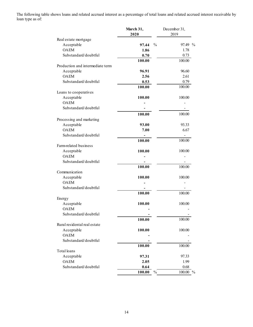The following table shows loans and related accrued interest as a percentage of total loans and related accrued interest receivable by loan type as of:

|                                  | March 31,               | December 31, |
|----------------------------------|-------------------------|--------------|
|                                  | 2020                    | 2019         |
| Real estate mortgage             |                         |              |
| Acceptable                       | $\frac{0}{0}$<br>97.44  | 97.49 %      |
| <b>OAEM</b>                      | 1.86                    | 1.78         |
| Substandard/doubtful             | 0.70                    | 0.73         |
|                                  | 100.00                  | 100.00       |
| Production and intermediate term |                         |              |
| Acceptable                       | 96.91                   | 96.60        |
| <b>OAEM</b>                      | 2.56                    | 2.61         |
| Substandard/doubtful             | 0.53                    | 0.79         |
|                                  | 100.00                  | 100.00       |
| Loans to cooperatives            |                         |              |
| Acceptable                       | 100.00                  | 100.00       |
| <b>OAEM</b>                      |                         |              |
| Substandard/doubtful             |                         |              |
|                                  |                         |              |
|                                  | 100.00                  | 100.00       |
| Processing and marketing         |                         |              |
| Acceptable                       | 93.00                   | 93.33        |
| <b>OAEM</b>                      | 7.00                    | 6.67         |
| Substandard/doubtful             |                         |              |
|                                  | 100.00                  | 100.00       |
| Farm-related business            |                         |              |
| Acceptable                       | 100.00                  | 100.00       |
| <b>OAEM</b>                      |                         |              |
| Substandard/doubtful             |                         |              |
|                                  | 100.00                  | 100.00       |
| Communication                    |                         |              |
| Acceptable                       | 100.00                  | 100.00       |
| <b>OAEM</b>                      |                         |              |
| Substandard/doubtful             |                         |              |
|                                  | 100.00                  | 100.00       |
| Energy                           |                         |              |
| Acceptable                       | 100.00                  | 100.00       |
| <b>OAEM</b>                      |                         |              |
| Substandard/doubtful             |                         |              |
|                                  | 100.00                  | 100.00       |
| Rural residental real estate     |                         |              |
| Acceptable                       | 100.00                  | 100.00       |
| <b>OAEM</b>                      |                         |              |
| Substandard/doubtful             |                         |              |
|                                  | 100.00                  | 100.00       |
| Total loans                      |                         |              |
| Acceptable                       | 97.31                   | 97.33        |
| <b>OAEM</b>                      | 2.05                    | 1.99         |
| Substandard/doubtful             | 0.64                    | 0.68         |
|                                  | $\frac{0}{0}$<br>100.00 | 100.00 %     |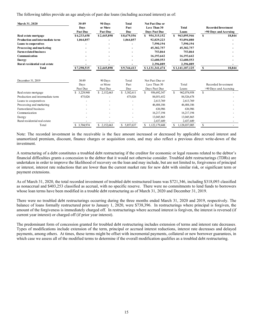The following tables provide an age analysis of past due loans (including accrued interest) as of:

| March 31, 2020                   | 30-89<br><b>Days</b><br><b>Past Due</b> | 90 Days<br>or More<br><b>Past Due</b> | <b>Total</b><br>Past<br>Due | <b>Not Past Due or</b><br><b>Less Than 30</b><br><b>Days Past Due</b> | Total<br>Loans             |               | <b>Recorded Investment</b><br>>90 Days and Accruing |
|----------------------------------|-----------------------------------------|---------------------------------------|-----------------------------|-----------------------------------------------------------------------|----------------------------|---------------|-----------------------------------------------------|
| Real estate mortgage             | \$6,233,658                             | \$2,445,898                           | \$8,679,556                 | 954,315,152<br>S                                                      | \$<br>963,095,946          | S             | 18,844                                              |
| Production and intermediate term | 1,064,857                               |                                       | 1,064,857                   | 92,029,223                                                            | 93,094,080                 |               |                                                     |
| Loans to cooperatives            |                                         |                                       |                             | 7,590,194                                                             | 7,590,194                  |               |                                                     |
| Processing and marketing         |                                         |                                       |                             | 45,382,757                                                            | 45,382,757                 |               |                                                     |
| <b>Farm-related business</b>     |                                         |                                       |                             | 753,864                                                               | 753,864                    |               |                                                     |
| Communication                    |                                         |                                       |                             | 16,193,642                                                            | 16,193,642                 |               |                                                     |
| <b>Energy</b>                    |                                         |                                       |                             | 12,680,553                                                            | 12,680,553                 |               |                                                     |
| Rural residential real estate    |                                         |                                       |                             | 2,396,089                                                             | 2,396,089                  |               |                                                     |
| <b>Total</b>                     | \$7,298,515                             | \$2,445,898                           | \$9,744,413                 | \$1,131,341,474                                                       | \$1,141,187,125            | S             | 18,844                                              |
| December 31, 2019                | 30-89<br>Days<br>Past Due               | 90 Days<br>or More<br>Past Due        | Total<br>Past<br>Due        | Not Past Due or<br>Less Than 30<br>Days Past Due                      | Total<br>Loans             |               | Recorded Investment<br>>90 Days and Accruing        |
| Real estate mortgage             | 3,229,948                               | \$2,152,663                           | S.<br>5,382,611             | \$<br>956,692,347                                                     | $\mathbf S$<br>962,074,958 | <sup>\$</sup> |                                                     |
| Production and intermediate term | 475,026                                 |                                       | 475,026                     | 84,051,652                                                            | 84,526,678                 |               |                                                     |
| Loans to cooperatives            |                                         |                                       |                             | 2,613,769                                                             | 2,613,769                  |               |                                                     |
| Processing and marketing         |                                         |                                       |                             | 46,484,186                                                            | 46, 484, 186               |               |                                                     |
| Farm-related business            |                                         |                                       |                             | 636,986                                                               | 636,986                    |               |                                                     |
| Communication                    |                                         |                                       |                             | 16,217,194                                                            | 16,217,194                 |               |                                                     |
| Energy                           |                                         |                                       |                             | 13,045,865                                                            | 13,045,865                 |               |                                                     |
| Rural residential real estate    |                                         |                                       |                             | 2,437,449                                                             | 2,437,449                  |               |                                                     |
| Total                            | \$ 3,704,974                            | S.<br>2,152,663                       | S.<br>5,857,637             | 1,122,179,448<br>S                                                    | 1,128,037,085              | \$            |                                                     |

Note: The recorded investment in the receivable is the face amount increased or decreased by applicable accrued interest and unamortized premium, discount, finance charges or acquisition costs, and may also reflect a previous direct write-down of the investment.

A restructuring of a debt constitutes a troubled debt restructuring if the creditor for economic or legal reasons related to the debtor's financial difficulties grants a concession to the debtor that it would not otherwise consider. Troubled debt restructurings (TDRs) are undertaken in order to improve the likelihood of recovery on the loan and may include, but are not limited to, forgiveness of principal or interest, interest rate reductions that are lower than the current market rate for new debt with similar risk, or significant term or payment extensions.

As of March 31, 2020, the total recorded investment of troubled debt restructured loans was \$721,346, including \$318,093 classified as nonaccrual and \$403,253 classified as accrual, with no specific reserve. There were no commitments to lend funds to borrowers whose loan terms have been modified in a trouble debt restructuring as of March 31, 2020 and December 31, 2019.

There were no troubled debt restructurings occurring during the three months ended March 31, 2020 and 2019, respectively. The balance of loans formally restructured prior to January 1, 2020, were \$738,396. In restructurings where principal is forgiven, the amount of the forgiveness is immediately charged off. In restructurings where accrued interest is forgiven, the interest is reversed (if current year interest) or charged off (if prior year interest).

The predominant form of concession granted for troubled debt restructuring includes extension of terms and interest rate decreases. Types of modifications include extension of the term, principal or accrued interest reductions, interest rate decreases and delayed payments, among others. At times, these terms might be offset with incremental payments, collateral or new borrower guarantees, in which case we assess all of the modified terms to determine if the overall modification qualifies as a troubled debt restructuring.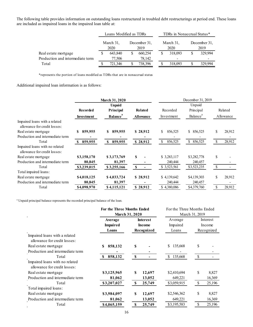The following table provides information on outstanding loans restructured in troubled debt restructurings at period end. These loans are included as impaired loans in the impaired loan table at:

|                                  | Loans Modified as TDRs |         |                      |         | TDRs in Nonaccrual Status* |         |                      |         |
|----------------------------------|------------------------|---------|----------------------|---------|----------------------------|---------|----------------------|---------|
|                                  | March 31,<br>2020      |         | December 31,<br>2019 |         | March 31,<br>2020          |         | December 31,<br>2019 |         |
| Real estate mortgage             |                        | 643,840 |                      | 660,254 | S                          | 318,093 |                      | 329,994 |
| Production and intermediate term |                        | 77.506  |                      | 78.142  |                            |         |                      |         |
| Total                            |                        | 721.346 |                      | 738,396 |                            | 318,093 |                      | 329,994 |

\*represents the portion of loans modified as TDRs that are in nonaccrual status

Additional impaired loan information is as follows:

|                                                                | <b>March 31, 2020</b> |                             |                  | December 31, 2019 |                      |               |           |  |
|----------------------------------------------------------------|-----------------------|-----------------------------|------------------|-------------------|----------------------|---------------|-----------|--|
|                                                                |                       | <b>Unpaid</b>               |                  |                   | Unpaid               |               |           |  |
|                                                                | <b>Recorded</b>       | Principal                   | Related          | Recorded          | Principal            |               | Related   |  |
|                                                                | Inves tment           | <b>Balance</b> <sup>a</sup> | <b>Allowance</b> | Investment        | Balance <sup>a</sup> |               | Allowance |  |
| Impaired loans with a related<br>allowance for credit losses:  |                       |                             |                  |                   |                      |               |           |  |
| Real estate mortgage                                           | 859,955<br>S          | 859,955<br>S.               | \$28,912         | \$<br>856,525     | \$ 856,525           | \$            | 28,912    |  |
| Production and intermediate term                               |                       |                             |                  |                   |                      |               |           |  |
| Total                                                          | 859,955<br>S.         | 859,955<br>\$.              | \$28,912         | \$<br>856,525     | 856,525<br>\$        | <sup>\$</sup> | 28,912    |  |
| Impaired loans with no related<br>allowance for credit losses: |                       |                             |                  |                   |                      |               |           |  |
| Real estate mortgage                                           | \$3,158,170           | \$3,173,769                 | S                | \$3,283,117       | \$3,282,778          | \$            |           |  |
| Production and intermediate term                               | 80,845                | 81,397                      |                  | 240,444           | 240,457              |               |           |  |
| Total                                                          | \$3,239,015           | \$3,255,166                 | S                | \$3,523,561       | \$3,523,235          | \$            |           |  |
| Total impaired loans:                                          |                       |                             |                  |                   |                      |               |           |  |
| Real estate mortgage                                           | \$4,018,125           | \$4,033,724                 | \$28,912         | \$4,139,642       | \$4,139,303          | \$            | 28,912    |  |
| Production and intermediate term                               | 80,845                | 81,397                      |                  | 240,444           | 240,457              |               |           |  |
| Total                                                          | \$4,098,970           | \$4,115,121                 | \$28,912         | \$4,380,086       | \$4,379,760          | <sup>\$</sup> | 28,912    |  |

<sup>a</sup> Unpaid principal balance represents the recorded principal balance of the loan.

|                            |                           | For the Three Months Ended<br>March 31, 2019        |                         |  |
|----------------------------|---------------------------|-----------------------------------------------------|-------------------------|--|
| Average<br><b>Impaired</b> | <b>Interest</b><br>Income | Average<br>Impaired                                 | Interest<br>Income      |  |
| Loans                      | Recognized                | Loans                                               | Recognized              |  |
|                            |                           |                                                     |                         |  |
| 858,132<br>\$              | S                         | \$<br>135,668                                       | \$                      |  |
|                            |                           |                                                     |                         |  |
| 858,132<br>-S              | \$                        | \$.<br>135,668                                      | \$                      |  |
|                            |                           |                                                     |                         |  |
| \$3,125,965                | S<br>12,697               | \$2,410,694                                         | \$<br>8,827             |  |
| 81,062                     | 13,052                    | 649,221                                             | 16,369                  |  |
| \$3,207,027                | \$<br>25,749              | \$3,059,915                                         | <sup>\$</sup><br>25,196 |  |
|                            |                           |                                                     |                         |  |
| \$3,984,097                | \$<br>12,697              | \$2,546,362                                         | \$<br>8,827             |  |
| 81,062                     | 13,052                    | 649,221                                             | 16,369                  |  |
| \$4,065,159                | 25,749<br>S               | \$3,195,583                                         | \$<br>25,196            |  |
|                            |                           | For the Three Months Ended<br><b>March 31, 2020</b> |                         |  |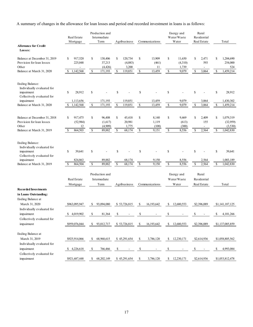A summary of changes in the allowance for loan losses and period end recorded investment in loans is as follows:

|                                                                                                  | Real Estate<br>Mortgage      | Production and<br>Intermediate<br>Term | Agribusiness                       | Communications         | Energy and<br>Water/Waste<br>Water | Rural<br>Residential<br>Real Estate     | Total                        |
|--------------------------------------------------------------------------------------------------|------------------------------|----------------------------------------|------------------------------------|------------------------|------------------------------------|-----------------------------------------|------------------------------|
| <b>Allowance for Credit</b><br>Losses:                                                           |                              |                                        |                                    |                        |                                    |                                         |                              |
| Balance at December 31, 2019<br>Provision for loan losses                                        | \$<br>917,520<br>225,048     | \$<br>138,406<br>37,213                | \$<br>120,734<br>(4,083)           | \$<br>13,909<br>(461)  | \$<br>11,650<br>(4,310)            | \$<br>2,471<br>593                      | \$<br>1,204,690<br>254,000   |
| Other<br>Balance at March 31, 2020                                                               | 1,142,568<br>\$              | (4, 426)<br>\$<br>171,193              | 3,200<br>\$<br>119,851             | 11<br>\$<br>13,459     | 1,739<br>\$<br>9,079               | \$<br>3,064                             | 524<br>\$<br>1,459,214       |
| <b>Ending Balance:</b>                                                                           |                              |                                        |                                    |                        |                                    |                                         |                              |
| Individually evaluated for<br>impairment<br>Collectively evaluated for                           | \$<br>28,912                 | \$                                     | \$                                 | \$                     | \$                                 | \$                                      | \$<br>28,912                 |
| impairment<br>Balance at March 31, 2020                                                          | 1,113,656<br>1,142,568<br>\$ | 171,193<br>\$<br>171,193               | 119,851<br>$\mathbb{S}$<br>119,851 | 13,459<br>\$<br>13,459 | 9,079<br>\$<br>9,079               | 3,064<br>\$<br>3,064                    | 1,430,302<br>\$<br>1,459,214 |
| Balance at December 31, 2018<br>Provision for loan losses                                        | \$<br>917,475<br>(52, 984)   | \$<br>96,408<br>(1,617)                | \$<br>45,418<br>20,981             | \$<br>8,140<br>1,119   | \$<br>9,469<br>(613)               | \$<br>2,409<br>155                      | \$<br>1,079,319<br>(32,959)  |
| Other<br>Balance at March 31, 2019                                                               | 12<br>\$<br>864,503          | (4,909)<br>\$<br>89,882                | 1,775<br>\$<br>68,174              | (108)<br>\$<br>9,151   | (300)<br>\$<br>8,556               | $\overline{\phantom{a}}$<br>\$<br>2,564 | (3,530)<br>\$<br>1,042,830   |
| <b>Ending Balance:</b><br>Individually evaluated for<br>impairment<br>Collectively evaluated for | \$<br>39,641                 | \$                                     | \$                                 | \$                     | \$                                 | \$                                      | \$<br>39,641                 |
| impairment<br>Balance at March 31, 2019                                                          | 824,863<br>864,504<br>\$     | 89,882<br>\$<br>89,882                 | 68,174<br>$\mathbb{S}$<br>68,174   | 9,150<br>\$<br>9,150   | 8,556<br>\$<br>8,556               | 2,564<br>2,564<br>\$                    | 1,003,189<br>\$<br>1,042,830 |
|                                                                                                  | Real Estate<br>Mortgage      | Production and<br>Intermediate<br>Term | Agribusiness                       | Communications         | Energy and<br>Water/Waste<br>Water | Rural<br>Residential<br>Real Estate     | Total                        |
| <b>Recorded Investments</b><br>in Loans Outstanding:                                             |                              |                                        |                                    |                        |                                    |                                         |                              |
| Ending Balance at<br>March 31, 2020<br>Individually evaluated for                                | \$963,095,947                | \$<br>93,094,080                       | \$53,726,815                       | 16,193,642<br>\$       | \$<br>12,680,553                   | \$2,396,089                             | \$1,141,187,125              |
| impairment<br>Collectively evaluated for                                                         | 4.019.902<br>\$              | \$<br>81,364                           | \$                                 | \$                     | \$                                 | \$                                      | \$<br>4,101,266              |
| impairment                                                                                       | \$959,076,044                | \$.<br>93,012,717                      | \$53,726,815                       | 16,193,642<br>S.       | \$<br>12,680,553                   | \$2,396,089                             | \$1,137,085,859              |
| Ending Balance at<br>March 31, 2019<br>Individually evaluated for                                | \$925,914,066                | 68,968,615<br>\$                       | \$45,291,654                       | -S<br>3,786,120        | \$<br>12,230,171                   | \$2,614,936                             | \$1,058,805,562              |
| impairment<br>Collectively evaluated for                                                         | \$4,226,618                  | S.<br>766,466                          | S,                                 | \$                     | \$                                 | \$                                      | \$<br>4,993,084              |
| impairment                                                                                       | \$921,687,448                | 68,202,149<br>\$                       | \$45,291,654                       | \$<br>3,786,120        | \$12,230,171                       | \$2,614,936                             | \$1,053,812,478              |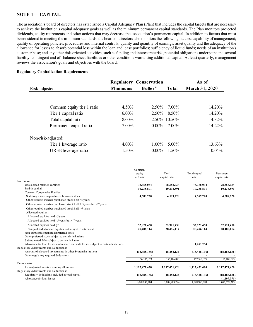# **NOTE 4 –– CAPITAL:**

The association's board of directors has established a Capital Adequacy Plan (Plan) that includes the capital targets that are necessary to achieve the institution's capital adequacy goals as well as the minimum permanent capital standards. The Plan monitors projected dividends, equity retirements and other actions that may decrease the association's permanent capital. In addition to factors that must be considered in meeting the minimum standards, the board of directors also monitors the following factors: capability of management; quality of operating policies, procedures and internal controls; quality and quantity of earnings; asset quality and the adequacy of the allowance for losses to absorb potential loss within the loan and lease portfolios; sufficiency of liquid funds; needs of an institution's customer base; and any other risk-oriented activities, such as funding and interest rate risk, potential obligations under joint and several liability, contingent and off-balance-sheet liabilities or other conditions warranting additional capital. At least quarterly, management reviews the association's goals and objectives with the board.

#### **Regulatory Capitalization Requirements**

|                            |                 | <b>Regulatory Conservation</b> |              | As of                 |
|----------------------------|-----------------|--------------------------------|--------------|-----------------------|
| Risk-adjusted:             | <b>Minimums</b> | Buffer*                        | <b>Total</b> | <b>March 31, 2020</b> |
|                            |                 |                                |              |                       |
| Common equity tier 1 ratio | $4.50\%$        | $2.50\%$                       | 7.00%        | 14.20%                |
| Tier 1 capital ratio       | $6.00\%$        | $2.50\%$                       | 8.50%        | 14.20%                |
| Total capital ratio        | 8.00%           |                                | 2.50% 10.50% | 14.32%                |
| Permanent capital ratio    | 7.00%           | $0.00\%$                       | 7.00%        | 14.22%                |
| Non-risk-adjusted:         |                 |                                |              |                       |
| Tier 1 leverage ratio      | $4.00\%$        | $1.00\%$                       | 5.00%        | 13.63%                |
| UREE leverage ratio        | 1.50%           | $0.00\%$                       | 1.50%        | 10.04%                |

|                                                                                        | Common         |                |                |                |
|----------------------------------------------------------------------------------------|----------------|----------------|----------------|----------------|
|                                                                                        | equity         | Tier 1         | Total capital  | Permanent      |
|                                                                                        | tier 1 ratio   | capital ratio  | ratio          | capital ratio  |
| Numerator:                                                                             |                |                |                |                |
| Unallocated retained earnings                                                          | 78,358,034     | 78,358,034     | 78,358,034     | 78,358,034     |
| Paid-in capital                                                                        | 10,238,891     | 10,238,891     | 10,238,891     | 10,238,891     |
| Common Cooperative Equities:                                                           |                |                |                |                |
| Statutory minimum purchased borrower stock                                             | 4,589,720      | 4,589,720      | 4,589,720      | 4,589,720      |
| Other required member purchased stock held <5 years                                    |                |                |                |                |
| Other required member purchased stock held $>$ 5 years but < 7 years                   |                |                |                |                |
| Other required member purchased stock held >7 years                                    |                |                |                |                |
| Allocated equities:                                                                    |                |                |                |                |
| Allocated equities held <5 years                                                       |                |                |                |                |
| Allocated equities held $>5$ years but < 7 years                                       |                |                |                |                |
| Allocated equities held >7                                                             | 52,921,450     | 52,921,450     | 52,921,450     | 52,921,450     |
| Nonqualified allocated equities not subject to retirement                              | 28,486,114     | 28,486,114     | 28,486,114     | 28,486,114     |
| Non-cumulative perpetual preferred stock                                               |                |                |                |                |
| Other preferred stock subject to certain limitations                                   |                |                |                |                |
| Subordinated debt subject to certain limitation                                        |                |                |                |                |
| Allowance for loan losses and reserve for credit losses subject to certain limitations |                |                | 1,281,254      |                |
| Regulatory Adjustments and Deductions:                                                 |                |                |                |                |
| Amount of allocated investments in other System institutions                           | (18, 488, 136) | (18, 488, 136) | (18, 488, 136) | (18, 488, 136) |
| Other regulatory required deductions                                                   |                |                |                |                |
|                                                                                        | 156,106,073    | 156,106,073    | 157,387,327    | 156,106,073    |
| Denominator:                                                                           |                |                |                |                |
| Risk-adjusted assets excluding allowance                                               | 1,117,471,420  | 1,117,471,420  | 1,117,471,420  | 1,117,471,420  |
| Regulatory Adjustments and Deductions:                                                 |                |                |                |                |
| Regulatory deductions included in total capital                                        | (18, 488, 136) | (18, 488, 136) | (18, 488, 136) | (18, 488, 136) |
| Allowance for loan losses                                                              |                |                |                | (1,207,071)    |
|                                                                                        | 1.098.983.284  | 1,098,983,284  | 1.098.983.284  | 1,097,776,213  |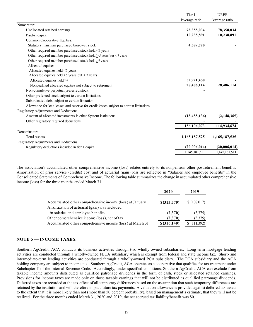|                                                                                        | Tier 1         | <b>UREE</b>    |
|----------------------------------------------------------------------------------------|----------------|----------------|
|                                                                                        | leverage ratio | leverage ratio |
| Numerator:                                                                             |                |                |
| Unallocated retained earnings                                                          | 78,358,034     | 78,358,034     |
| Paid-in capital                                                                        | 10,238,891     | 10,238,891     |
| Common Cooperative Equities:                                                           |                |                |
| Statutory minimum purchased borrower stock                                             | 4,589,720      |                |
| Other required member purchased stock held <5 years                                    |                |                |
| Other required member purchased stock held $\geq$ 5 years but < 7 years                |                |                |
| Other required member purchased stock held >7 years                                    |                |                |
| Allocated equities:                                                                    |                |                |
| Allocated equities held <5 years                                                       |                |                |
| Allocated equities held $\geq$ 5 years but < 7 years                                   |                |                |
| Allocated equities held $\geq$ 7                                                       | 52,921,450     |                |
| Nonqualified allocated equities not subject to retirement                              | 28,486,114     | 28,486,114     |
| Non-cumulative perpetual preferred stock                                               |                |                |
| Other preferred stock subject to certain limitations                                   |                |                |
| Subordinated debt subject to certain limitation                                        |                |                |
| Allowance for loan losses and reserve for credit losses subject to certain limitations |                |                |
| Regulatory Adjustments and Deductions:                                                 |                |                |
| Amount of allocated investments in other System institutions                           | (18, 488, 136) | (2, 148, 365)  |
| Other regulatory required deductions                                                   |                |                |
|                                                                                        | 156,106,073    | 114,934,674    |
| Denominator:                                                                           |                |                |
| <b>Total Assets</b>                                                                    | 1,165,187,525  | 1,165,187,525  |
| Regulatory Adjustments and Deductions:                                                 |                |                |
| Regulatory deductions included in tier 1 capital                                       | (20,006,014)   | (20,006,014)   |
|                                                                                        | 1,145,181,511  | 1,145,181,511  |

The association's accumulated other comprehensive income (loss) relates entirely to its nonpension other postretirement benefits. Amortization of prior service (credits) cost and of actuarial (gain) loss are reflected in "Salaries and employee benefits" in the Consolidated Statements of Comprehensive Income. The following table summarizes the change in accumulated other comprehensive income (loss) for the three months ended March 31:

|                                                            | 2020          | 2019        |
|------------------------------------------------------------|---------------|-------------|
| Accumulated other comprehensive income (loss) at January 1 | $$$ (313,770) | \$(108,017) |
| Amortization of actuarial (gain) loss included             |               |             |
| in salaries and employee benefits                          | (2,370)       | (3,375)     |
| Other comprehensive income (loss), net of tax              | (2,370)       | (3,375)     |
| Accumulated other comprehensive income (loss) at March 31  | \$ (316, 140) | (111,392)   |

# **NOTE 5 — INCOME TAXES:**

Southern AgCredit, ACA conducts its business activities through two wholly-owned subsidiaries. Long-term mortgage lending activities are conducted through a wholly-owned FLCA subsidiary which is exempt from federal and state income tax. Short- and intermediate-term lending activities are conducted through a wholly-owned PCA subsidiary. The PCA subsidiary and the ACA holding company are subject to income tax. Southern AgCredit, ACA operates as a cooperative that qualifies for tax treatment under Subchapter T of the Internal Revenue Code. Accordingly, under specified conditions, Southern AgCredit, ACA can exclude from taxable income amounts distributed as qualified patronage dividends in the form of cash, stock or allocated retained earnings. Provisions for income taxes are made only on those taxable earnings that will not be distributed as qualified patronage dividends. Deferred taxes are recorded at the tax effect of all temporary differences based on the assumption that such temporary differences are retained by the institution and will therefore impact future tax payments. A valuation allowance is provided against deferred tax assets to the extent that it is more likely than not (more than 50 percent probability), based on management's estimate, that they will not be realized. For the three months ended March 31, 2020 and 2019, the net accrued tax liability/benefit was \$0.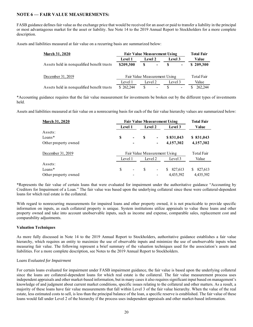# **NOTE 6 — FAIR VALUE MEASUREMENTS:**

FASB guidance defines fair value as the exchange price that would be received for an asset or paid to transfer a liability in the principal or most advantageous market for the asset or liability. See Note 14 to the 2019 Annual Report to Stockholders for a more complete description.

Assets and liabilities measured at fair value on a recurring basis are summarized below:

| <b>March 31, 2020</b>                      | <b>Fair Value Measurement Using</b> | <b>Total Fair</b> |                |         |  |            |  |
|--------------------------------------------|-------------------------------------|-------------------|----------------|---------|--|------------|--|
|                                            | Level 1                             | Level 2           |                | Level 3 |  | Value      |  |
| Assets held in nonqualified benefit trusts | \$209,300                           | S                 | $\blacksquare$ |         |  | \$209,300  |  |
| December 31, 2019                          | Fair Value Measurement Using        |                   |                |         |  | Total Fair |  |
|                                            | Level 1                             | Level 2           |                | Level 3 |  | Value      |  |
| Assets held in nonqualified benefit trusts | \$262,244                           | \$.               |                |         |  | 262,244    |  |

\*Accounting guidance requires that the fair value measurement for investments be broken out by the different types of investments held.

Assets and liabilities measured at fair value on a nonrecurring basis for each of the fair value hierarchy values are summarized below:

| <b>March 31, 2020</b> | <b>Fair Value Measurement Using</b> | <b>Total Fair</b>            |   |                              |                |              |  |
|-----------------------|-------------------------------------|------------------------------|---|------------------------------|----------------|--------------|--|
|                       |                                     | Level 1                      |   |                              | Level 3        | Value        |  |
| Assets:               |                                     |                              |   |                              |                |              |  |
| $Loans*$              | S                                   | $\qquad \qquad \blacksquare$ | S | $\qquad \qquad \blacksquare$ | \$831,043      | \$831,043    |  |
| Other property owned  |                                     | $\overline{\phantom{a}}$     |   |                              | 4,157,302      | 4,157,302    |  |
| December 31, 2019     |                                     | Fair Value Measurement Using |   |                              |                |              |  |
|                       |                                     | Level 1                      |   |                              | Level 3        | Value        |  |
| Assets:               |                                     |                              |   |                              |                |              |  |
| $Loans*$              | S                                   | $\overline{\phantom{a}}$     | S | $\qquad \qquad \blacksquare$ | 827,613<br>\$. | 827,613<br>S |  |
| Other property owned  |                                     |                              |   |                              | 4,435,392      | 4,435,392    |  |

\*Represents the fair value of certain loans that were evaluated for impairment under the authoritative guidance "Accounting by Creditors for Impairment of a Loan." The fair value was based upon the underlying collateral since these were collateral-dependent loans for which real estate is the collateral.

With regard to nonrecurring measurements for impaired loans and other property owned, it is not practicable to provide specific information on inputs, as each collateral property is unique. System institutions utilize appraisals to value these loans and other property owned and take into account unobservable inputs, such as income and expense, comparable sales, replacement cost and comparability adjustments.

#### **Valuation Techniques**

As more fully discussed in Note 14 to the 2019 Annual Report to Stockholders, authoritative guidance establishes a fair value hierarchy, which requires an entity to maximize the use of observable inputs and minimize the use of unobservable inputs when measuring fair value. The following represent a brief summary of the valuation techniques used for the association's assets and liabilities. For a more complete description, see Notes to the 2019 Annual Report to Stockholders.

#### L*oans Evaluated for Impairment*

For certain loans evaluated for impairment under FASB impairment guidance, the fair value is based upon the underlying collateral since the loans are collateral-dependent loans for which real estate is the collateral. The fair value measurement process uses independent appraisals and other market-based information, but in many cases it also requires significant input based on management's knowledge of and judgment about current market conditions, specific issues relating to the collateral and other matters. As a result, a majority of these loans have fair value measurements that fall within Level 3 of the fair value hierarchy. When the value of the real estate, less estimated costs to sell, is less than the principal balance of the loan, a specific reserve is established. The fair value of these loans would fall under Level 2 of the hierarchy if the process uses independent appraisals and other market-based information.